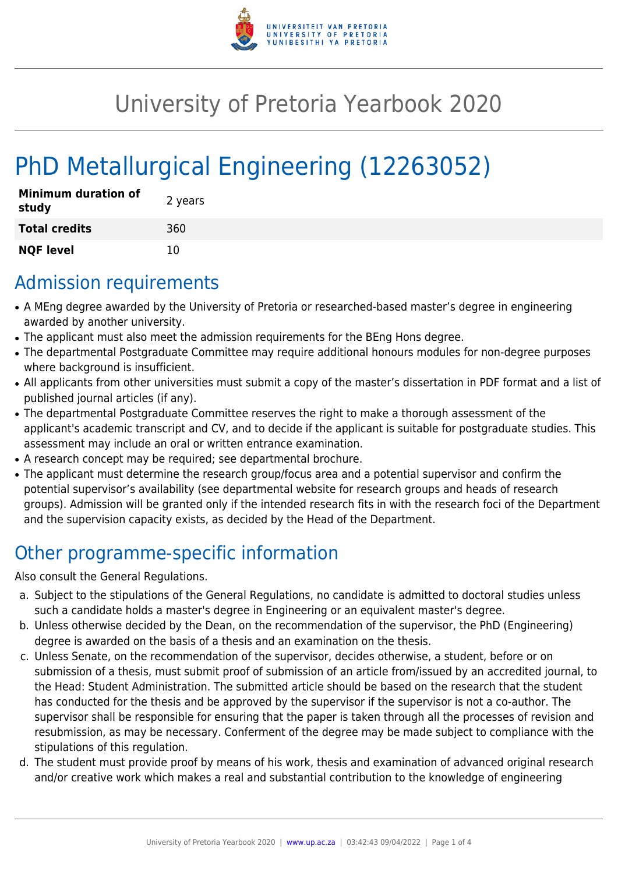

## University of Pretoria Yearbook 2020

# PhD Metallurgical Engineering (12263052)

| <b>Minimum duration of</b><br>study | 2 years |
|-------------------------------------|---------|
| <b>Total credits</b>                | 360     |
| <b>NQF level</b>                    | 10      |

## Admission requirements

- A MEng degree awarded by the University of Pretoria or researched-based master's degree in engineering awarded by another university.
- The applicant must also meet the admission requirements for the BEng Hons degree.
- The departmental Postgraduate Committee may require additional honours modules for non-degree purposes where background is insufficient.
- All applicants from other universities must submit a copy of the master's dissertation in PDF format and a list of published journal articles (if any).
- The departmental Postgraduate Committee reserves the right to make a thorough assessment of the applicant's academic transcript and CV, and to decide if the applicant is suitable for postgraduate studies. This assessment may include an oral or written entrance examination.
- A research concept may be required; see departmental brochure.
- The applicant must determine the research group/focus area and a potential supervisor and confirm the potential supervisor's availability (see departmental website for research groups and heads of research groups). Admission will be granted only if the intended research fits in with the research foci of the Department and the supervision capacity exists, as decided by the Head of the Department.

## Other programme-specific information

Also consult the General Regulations.

- a. Subject to the stipulations of the General Regulations, no candidate is admitted to doctoral studies unless such a candidate holds a master's degree in Engineering or an equivalent master's degree.
- b. Unless otherwise decided by the Dean, on the recommendation of the supervisor, the PhD (Engineering) degree is awarded on the basis of a thesis and an examination on the thesis.
- c. Unless Senate, on the recommendation of the supervisor, decides otherwise, a student, before or on submission of a thesis, must submit proof of submission of an article from/issued by an accredited journal, to the Head: Student Administration. The submitted article should be based on the research that the student has conducted for the thesis and be approved by the supervisor if the supervisor is not a co-author. The supervisor shall be responsible for ensuring that the paper is taken through all the processes of revision and resubmission, as may be necessary. Conferment of the degree may be made subject to compliance with the stipulations of this regulation.
- d. The student must provide proof by means of his work, thesis and examination of advanced original research and/or creative work which makes a real and substantial contribution to the knowledge of engineering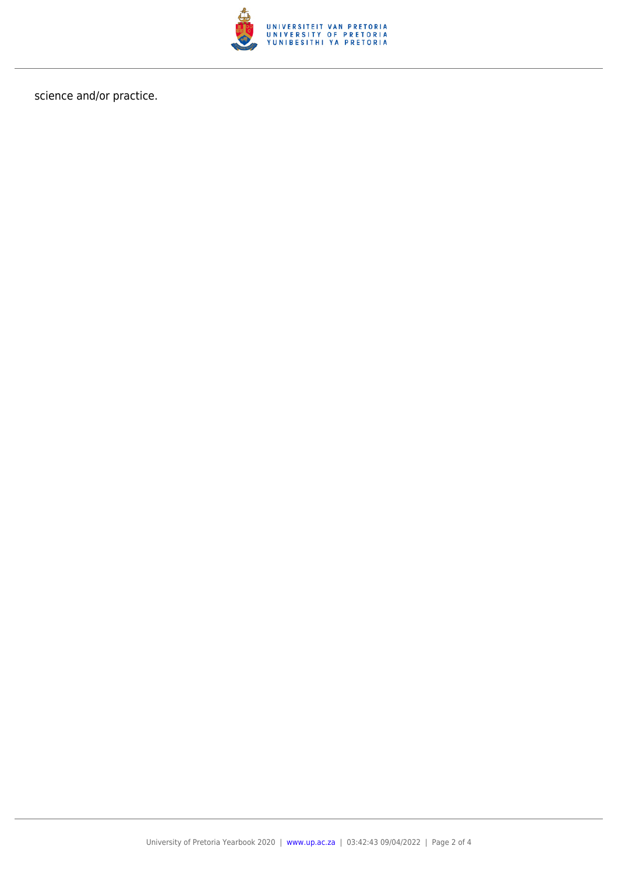

science and/or practice.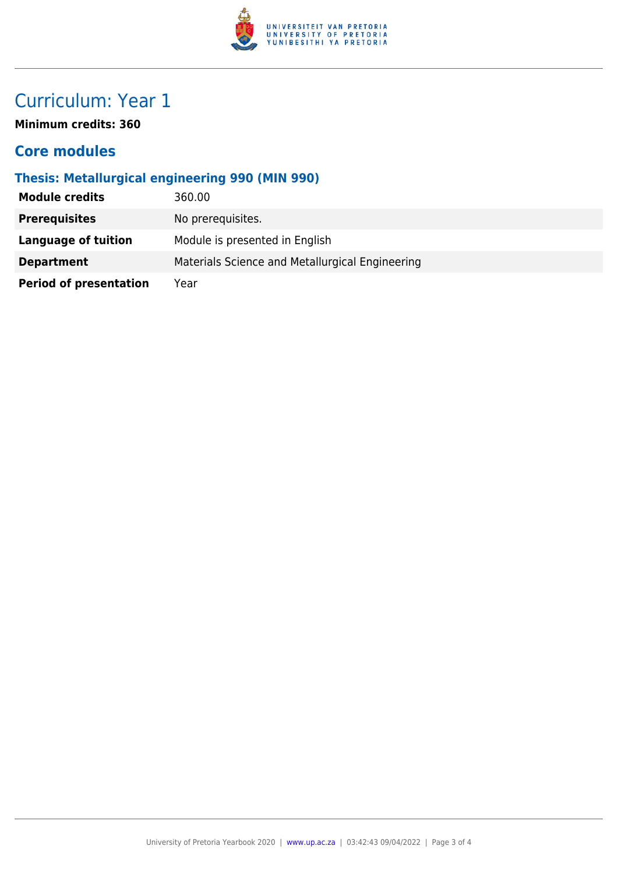

## Curriculum: Year 1

**Minimum credits: 360**

#### **Core modules**

#### **Thesis: Metallurgical engineering 990 (MIN 990)**

| <b>Module credits</b>         | 360.00                                          |
|-------------------------------|-------------------------------------------------|
| <b>Prerequisites</b>          | No prerequisites.                               |
| Language of tuition           | Module is presented in English                  |
| <b>Department</b>             | Materials Science and Metallurgical Engineering |
| <b>Period of presentation</b> | Year                                            |